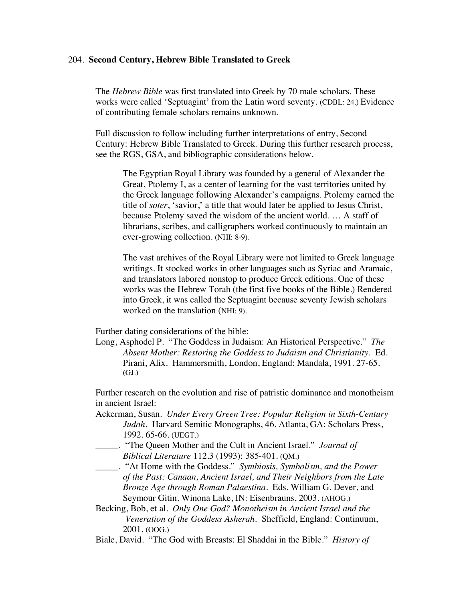## 204. **Second Century, Hebrew Bible Translated to Greek**

The *Hebrew Bible* was first translated into Greek by 70 male scholars. These works were called 'Septuagint' from the Latin word seventy. (CDBL: 24.) Evidence of contributing female scholars remains unknown.

Full discussion to follow including further interpretations of entry, Second Century: Hebrew Bible Translated to Greek. During this further research process, see the RGS, GSA, and bibliographic considerations below.

The Egyptian Royal Library was founded by a general of Alexander the Great, Ptolemy I, as a center of learning for the vast territories united by the Greek language following Alexander's campaigns. Ptolemy earned the title of *soter*, 'savior,' a title that would later be applied to Jesus Christ, because Ptolemy saved the wisdom of the ancient world. … A staff of librarians, scribes, and calligraphers worked continuously to maintain an ever-growing collection. (NHI: 8-9).

The vast archives of the Royal Library were not limited to Greek language writings. It stocked works in other languages such as Syriac and Aramaic, and translators labored nonstop to produce Greek editions. One of these works was the Hebrew Torah (the first five books of the Bible.) Rendered into Greek, it was called the Septuagint because seventy Jewish scholars worked on the translation (NHI: 9).

Further dating considerations of the bible:

Long, Asphodel P. "The Goddess in Judaism: An Historical Perspective." *The Absent Mother: Restoring the Goddess to Judaism and Christianity.* Ed. Pirani, Alix. Hammersmith, London, England: Mandala, 1991. 27-65. (GJ.)

Further research on the evolution and rise of patristic dominance and monotheism in ancient Israel:

- Ackerman, Susan. *Under Every Green Tree: Popular Religion in Sixth-Century Judah*. Harvard Semitic Monographs, 46. Atlanta, GA: Scholars Press, 1992. 65-66. (UEGT.)
	- \_\_\_\_\_. "The Queen Mother and the Cult in Ancient Israel." *Journal of Biblical Literature* 112.3 (1993): 385-401. (QM.)
- \_\_\_\_\_. "At Home with the Goddess." *Symbiosis, Symbolism, and the Power of the Past: Canaan, Ancient Israel, and Their Neighbors from the Late Bronze Age through Roman Palaestina.* Eds. William G. Dever, and Seymour Gitin. Winona Lake, IN: Eisenbrauns, 2003. (AHOG.)
- Becking, Bob, et al. *Only One God? Monotheism in Ancient Israel and the Veneration of the Goddess Asherah.* Sheffield, England: Continuum, 2001. (OOG.)
- Biale, David. "The God with Breasts: El Shaddai in the Bible." *History of*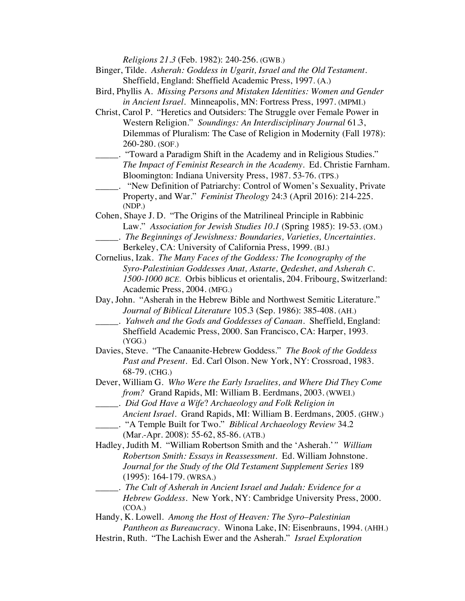*Religions 21.3* (Feb. 1982): 240-256. (GWB.)

- Binger, Tilde. *Asherah: Goddess in Ugarit, Israel and the Old Testament.* Sheffield, England: Sheffield Academic Press, 1997. (A.)
- Bird, Phyllis A. *Missing Persons and Mistaken Identities: Women and Gender in Ancient Israel.* Minneapolis, MN: Fortress Press, 1997. (MPMI.)
- Christ, Carol P. "Heretics and Outsiders: The Struggle over Female Power in Western Religion." *Soundings: An Interdisciplinary Journal* 61.3, Dilemmas of Pluralism: The Case of Religion in Modernity (Fall 1978): 260-280. (SOF.)
	- \_\_\_\_\_. "Toward a Paradigm Shift in the Academy and in Religious Studies." *The Impact of Feminist Research in the Academy*. Ed. Christie Farnham. Bloomington: Indiana University Press, 1987. 53-76. (TPS.)
- \_\_\_\_\_. "New Definition of Patriarchy: Control of Women's Sexuality, Private Property, and War." *Feminist Theology* 24:3 (April 2016): 214-225. (NDP.)
- Cohen, Shaye J. D. "The Origins of the Matrilineal Principle in Rabbinic Law." *Association for Jewish Studies 10.1* (Spring 1985): 19-53. (OM.) \_\_\_\_\_. *The Beginnings of Jewishness: Boundaries, Varieties, Uncertainties.*
- Berkeley, CA: University of California Press, 1999. (BJ.)
- Cornelius, Izak. *The Many Faces of the Goddess: The Iconography of the Syro-Palestinian Goddesses Anat, Astarte, Qedeshet, and Asherah C. 1500-1000 BCE.* Orbis biblicus et orientalis, 204. Fribourg, Switzerland: Academic Press, 2004. (MFG.)
- Day, John. "Asherah in the Hebrew Bible and Northwest Semitic Literature." *Journal of Biblical Literature* 105.3 (Sep. 1986): 385-408. (AH.)
	- \_\_\_\_\_. *Yahweh and the Gods and Goddesses of Canaan*. Sheffield, England: Sheffield Academic Press, 2000. San Francisco, CA: Harper, 1993. (YGG.)
- Davies, Steve. "The Canaanite-Hebrew Goddess." *The Book of the Goddess Past and Present*. Ed. Carl Olson. New York, NY: Crossroad, 1983. 68-79. (CHG.)
- Dever, William G. *Who Were the Early Israelites, and Where Did They Come from?* Grand Rapids, MI: William B. Eerdmans, 2003. (WWEI.)
- \_\_\_\_\_. *Did God Have a Wife*? *Archaeology and Folk Religion in Ancient Israel.* Grand Rapids, MI: William B. Eerdmans, 2005. (GHW.)
- \_\_\_\_\_. "A Temple Built for Two." *Biblical Archaeology Review* 34.2 (Mar.-Apr. 2008): 55-62, 85-86. (ATB.)
- Hadley, Judith M. "William Robertson Smith and the 'Asherah.'*" William Robertson Smith: Essays in Reassessment*. Ed. William Johnstone. *Journal for the Study of the Old Testament Supplement Series* 189 (1995): 164-179. (WRSA.)
- \_\_\_\_\_. *The Cult of Asherah in Ancient Israel and Judah: Evidence for a Hebrew Goddess*. New York, NY: Cambridge University Press, 2000. (COA.)

Handy, K. Lowell. *Among the Host of Heaven: The Syro*–*Palestinian Pantheon as Bureaucracy*. Winona Lake, IN: Eisenbrauns, 1994. (AHH.)

Hestrin, Ruth. "The Lachish Ewer and the Asherah." *Israel Exploration*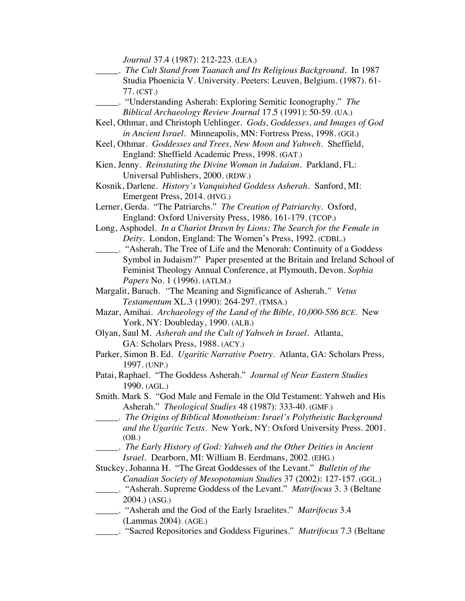*Journal* 37.4 (1987): 212-223. (LEA.)

- \_\_\_\_\_. *The Cult Stand from Taanach and Its Religious Background*. In 1987 Studia Phoenicia V. University. Peeters: Leuven, Belgium. (1987). 61- 77. (CST.)
- \_\_\_\_\_. "Understanding Asherah: Exploring Semitic Iconography." *The Biblical Archaeology Review Journal* 17.5 (1991): 50-59. (UA.)
- Keel, Othmar, and Christoph Uehlinger. *Gods, Goddesses, and Images of God in Ancient Israel.* Minneapolis, MN: Fortress Press, 1998. (GGI.)
- Keel, Othmar. *Goddesses and Trees, New Moon and Yahweh*. Sheffield, England: Sheffield Academic Press, 1998. (GAT.)
- Kien, Jenny. *Reinstating the Divine Woman in Judaism.* Parkland, FL: Universal Publishers, 2000. (RDW.)
- Kosnik, Darlene. *History's Vanquished Goddess Asherah.* Sanford, MI: Emergent Press, 2014. (HVG.)
- Lerner, Gerda. "The Patriarchs." *The Creation of Patriarchy.* Oxford, England: Oxford University Press, 1986. 161-179. (TCOP.)
- Long, Asphodel. *In a Chariot Drawn by Lions: The Search for the Female in Deity.* London, England: The Women's Press, 1992. (CDBL.)
- \_\_\_\_\_. "Asherah, The Tree of Life and the Menorah: Continuity of a Goddess Symbol in Judaism?" Paper presented at the Britain and Ireland School of Feminist Theology Annual Conference, at Plymouth, Devon. *Sophia Papers* No. 1 (1996). (ATLM.)
- Margalit, Baruch. *"*The Meaning and Significance of Asherah.*" Vetus Testamentum* XL.3 (1990): 264-297. (TMSA.)
- Mazar, Amihai. *Archaeology of the Land of the Bible, 10,000-586 BCE.* New York, NY: Doubleday, 1990. (ALB.)
- Olyan, Saul M. *Asherah and the Cult of Yahweh in Israel.* Atlanta, GA: Scholars Press, 1988. (ACY.)
- Parker, Simon B. Ed. *Ugaritic Narrative Poetry.* Atlanta, GA: Scholars Press, 1997. (UNP.)
- Patai, Raphael. "The Goddess Asherah." *Journal of Near Eastern Studies* 1990. (AGL.)
- Smith. Mark S. "God Male and Female in the Old Testament: Yahweh and His Asherah." *Theological Studies* 48 (1987): 333-40. (GMF.)
- \_\_\_\_\_. *The Origins of Biblical Monotheism: Israel's Polytheistic Background and the Ugaritic Texts.* New York, NY: Oxford University Press. 2001. (OB.)
	- \_\_\_\_\_. *The Early History of God: Yahweh and the Other Deities in Ancient Israel.* Dearborn, MI: William B. Eerdmans, 2002. (EHG.)

Stuckey, Johanna H. "The Great Goddesses of the Levant." *Bulletin of the Canadian Society of Mesopotamian Studies* 37 (2002): 127-157. (GGL.)

- \_\_\_\_\_. "Asherah. Supreme Goddess of the Levant." *Matrifocus* 3. 3 (Beltane 2004.) (ASG.)
- \_\_\_\_\_. "Asherah and the God of the Early Israelites." *Matrifocus* 3.4 (Lammas 2004). (AGE.)
- \_\_\_\_\_. "Sacred Repositories and Goddess Figurines." *Matrifocus* 7.3 (Beltane